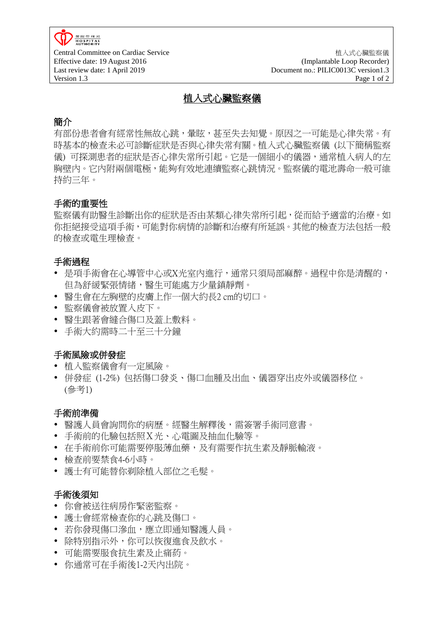**HOSPITAL** Effective date: 19 August 2016 Last review date: 1 April 2019 Version 1.3 Page 1 of 2

Central Committee on Cardiac Service 植入式心臟監察儀 (Implantable Loop Recorder) Document no.: PILIC0013C version1.3

# 植入式心臟監察儀

# 簡介

有部份患者會有經常性無故心跳,暈眩,甚至失去知覺。原因之一可能是心律失常。有 時基本的檢查未必可診斷症狀是否與心律失常有關。植入式心臟監察儀 (以下簡稱監察 儀) 可探測患者的症狀是否心律失常所引起。它是一個細小的儀器,通常植入病人的左 胸壁內。它內附兩個電極,能夠有效地連續監察心跳情況。監察儀的電池壽命一般可維 持約三年。

### 手術的重要性

監察儀有助醫生診斷出你的症狀是否由某類心律失常所引起,從而給予適當的治療。如 你拒絕接受這項手術,可能對你病情的診斷和治療有所延誤。其他的檢查方法包括一般 的檢查或電生理檢查。

#### 手術過程

- 是項手術會在心導管中心或X光室內進行,通常只須局部麻醉。過程中你是清醒的, 但為舒緩緊張情緒,醫生可能處方少量鎮靜劑。
- 醫生會在左胸壁的皮膚上作一個大約長2 cm的切口。
- 監察儀會被放置入皮下。
- 醫生跟著會縫合傷口及蓋上敷料。
- 手術大約需時二十至三十分鐘

#### 手術風險或併發症

- 植入監察儀會有一定風險。
- 併發症 (1-2%) 包括傷口發炎、傷口血腫及出血、儀器穿出皮外或儀器移位。 (參考1)

#### 手術前準備

- 醫護人員會詢問你的病歷。經醫生解釋後,需簽署手術同意書。
- 手術前的化驗包括照X光、心電圖及抽血化驗等。
- 在手術前你可能需要停服薄血藥,及有需要作抗生素及靜脈輸液。
- 檢查前要禁食4-6小時。
- 護士有可能替你剃除植入部位之毛髮。

#### 手術後須知

- 你會被送往病房作緊密監察。
- 護士會經常檢查你的心跳及傷口。
- 若你發現傷口滲血,應立即通知醫護人員。
- 除特別指示外,你可以恢復進食及飲水。
- 可能需要服食抗生素及止痛葯。
- 你通常可在手術後1-2天內出院。